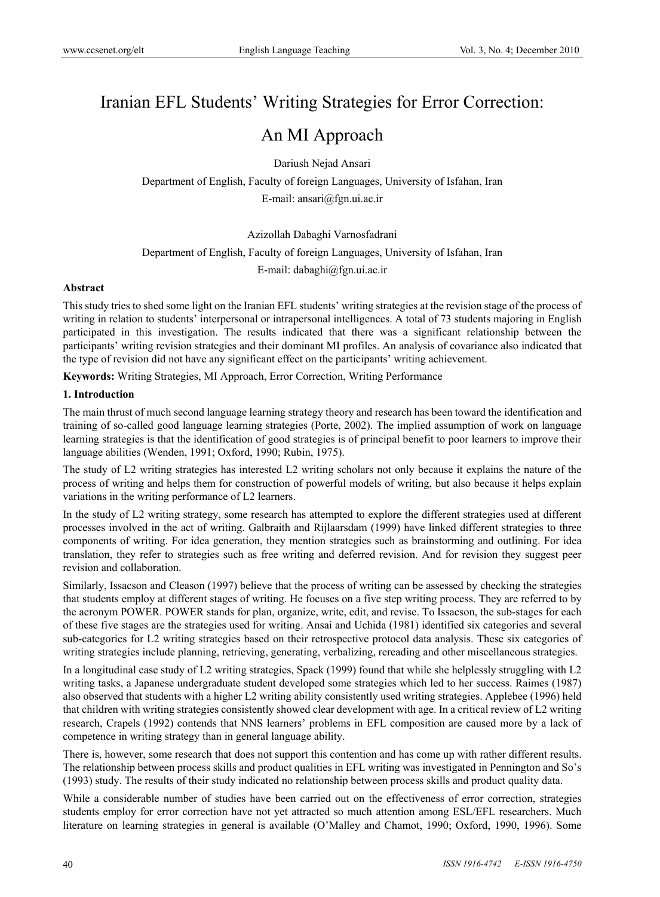# Iranian EFL Students' Writing Strategies for Error Correction:

# An MI Approach

Dariush Nejad Ansari

Department of English, Faculty of foreign Languages, University of Isfahan, Iran E-mail: ansari@fgn.ui.ac.ir

Azizollah Dabaghi Varnosfadrani

Department of English, Faculty of foreign Languages, University of Isfahan, Iran

E-mail: dabaghi@fgn.ui.ac.ir

## **Abstract**

This study tries to shed some light on the Iranian EFL students' writing strategies at the revision stage of the process of writing in relation to students' interpersonal or intrapersonal intelligences. A total of 73 students majoring in English participated in this investigation. The results indicated that there was a significant relationship between the participants' writing revision strategies and their dominant MI profiles. An analysis of covariance also indicated that the type of revision did not have any significant effect on the participants' writing achievement.

**Keywords:** Writing Strategies, MI Approach, Error Correction, Writing Performance

## **1. Introduction**

The main thrust of much second language learning strategy theory and research has been toward the identification and training of so-called good language learning strategies (Porte, 2002). The implied assumption of work on language learning strategies is that the identification of good strategies is of principal benefit to poor learners to improve their language abilities (Wenden, 1991; Oxford, 1990; Rubin, 1975).

The study of L2 writing strategies has interested L2 writing scholars not only because it explains the nature of the process of writing and helps them for construction of powerful models of writing, but also because it helps explain variations in the writing performance of L2 learners.

In the study of L2 writing strategy, some research has attempted to explore the different strategies used at different processes involved in the act of writing. Galbraith and Rijlaarsdam (1999) have linked different strategies to three components of writing. For idea generation, they mention strategies such as brainstorming and outlining. For idea translation, they refer to strategies such as free writing and deferred revision. And for revision they suggest peer revision and collaboration.

Similarly, Issacson and Cleason (1997) believe that the process of writing can be assessed by checking the strategies that students employ at different stages of writing. He focuses on a five step writing process. They are referred to by the acronym POWER. POWER stands for plan, organize, write, edit, and revise. To Issacson, the sub-stages for each of these five stages are the strategies used for writing. Ansai and Uchida (1981) identified six categories and several sub-categories for L2 writing strategies based on their retrospective protocol data analysis. These six categories of writing strategies include planning, retrieving, generating, verbalizing, rereading and other miscellaneous strategies.

In a longitudinal case study of L2 writing strategies, Spack (1999) found that while she helplessly struggling with L2 writing tasks, a Japanese undergraduate student developed some strategies which led to her success. Raimes (1987) also observed that students with a higher L2 writing ability consistently used writing strategies. Applebee (1996) held that children with writing strategies consistently showed clear development with age. In a critical review of L2 writing research, Crapels (1992) contends that NNS learners' problems in EFL composition are caused more by a lack of competence in writing strategy than in general language ability.

There is, however, some research that does not support this contention and has come up with rather different results. The relationship between process skills and product qualities in EFL writing was investigated in Pennington and So's (1993) study. The results of their study indicated no relationship between process skills and product quality data.

While a considerable number of studies have been carried out on the effectiveness of error correction, strategies students employ for error correction have not yet attracted so much attention among ESL/EFL researchers. Much literature on learning strategies in general is available (O'Malley and Chamot, 1990; Oxford, 1990, 1996). Some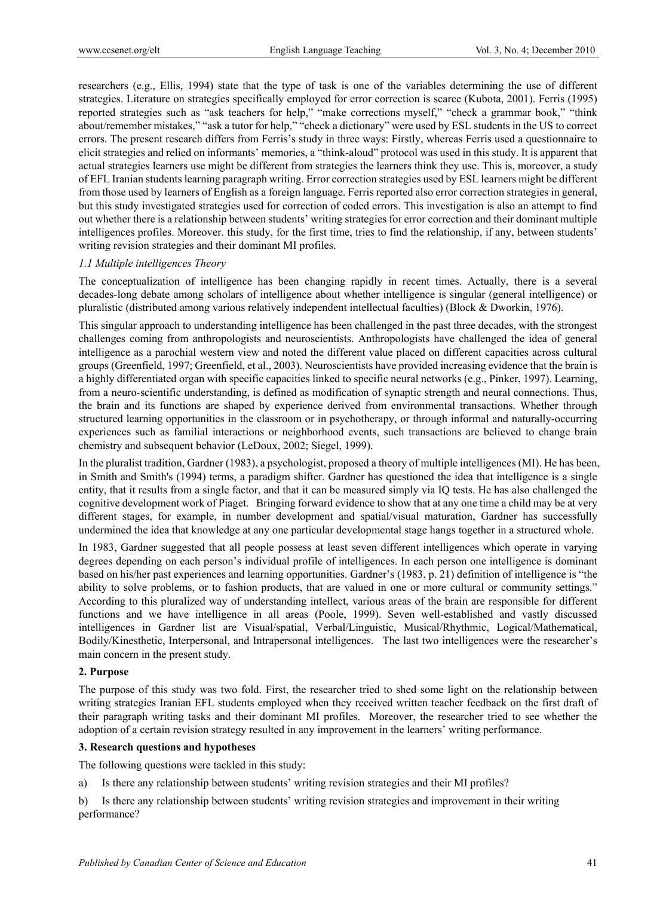researchers (e.g., Ellis, 1994) state that the type of task is one of the variables determining the use of different strategies. Literature on strategies specifically employed for error correction is scarce (Kubota, 2001). Ferris (1995) reported strategies such as "ask teachers for help," "make corrections myself," "check a grammar book," "think about/remember mistakes," "ask a tutor for help," "check a dictionary" were used by ESL students in the US to correct errors. The present research differs from Ferris's study in three ways: Firstly, whereas Ferris used a questionnaire to elicit strategies and relied on informants' memories, a "think-aloud" protocol was used in this study. It is apparent that actual strategies learners use might be different from strategies the learners think they use. This is, moreover, a study of EFL Iranian students learning paragraph writing. Error correction strategies used by ESL learners might be different from those used by learners of English as a foreign language. Ferris reported also error correction strategies in general, but this study investigated strategies used for correction of coded errors. This investigation is also an attempt to find out whether there is a relationship between students' writing strategies for error correction and their dominant multiple intelligences profiles. Moreover. this study, for the first time, tries to find the relationship, if any, between students' writing revision strategies and their dominant MI profiles.

## *1.1 Multiple intelligences Theory*

The conceptualization of intelligence has been changing rapidly in recent times. Actually, there is a several decades-long debate among scholars of intelligence about whether intelligence is singular (general intelligence) or pluralistic (distributed among various relatively independent intellectual faculties) (Block & Dworkin, 1976).

This singular approach to understanding intelligence has been challenged in the past three decades, with the strongest challenges coming from anthropologists and neuroscientists. Anthropologists have challenged the idea of general intelligence as a parochial western view and noted the different value placed on different capacities across cultural groups (Greenfield, 1997; Greenfield, et al., 2003). Neuroscientists have provided increasing evidence that the brain is a highly differentiated organ with specific capacities linked to specific neural networks (e.g., Pinker, 1997). Learning, from a neuro-scientific understanding, is defined as modification of synaptic strength and neural connections. Thus, the brain and its functions are shaped by experience derived from environmental transactions. Whether through structured learning opportunities in the classroom or in psychotherapy, or through informal and naturally-occurring experiences such as familial interactions or neighborhood events, such transactions are believed to change brain chemistry and subsequent behavior (LeDoux, 2002; Siegel, 1999).

In the pluralist tradition, Gardner (1983), a psychologist, proposed a theory of multiple intelligences (MI). He has been, in Smith and Smith's (1994) terms, a paradigm shifter. Gardner has questioned the idea that intelligence is a single entity, that it results from a single factor, and that it can be measured simply via IQ tests. He has also challenged the cognitive development work of Piaget. Bringing forward evidence to show that at any one time a child may be at very different stages, for example, in number development and spatial/visual maturation, Gardner has successfully undermined the idea that knowledge at any one particular developmental stage hangs together in a structured whole.

In 1983, Gardner suggested that all people possess at least seven different intelligences which operate in varying degrees depending on each person's individual profile of intelligences. In each person one intelligence is dominant based on his/her past experiences and learning opportunities. Gardner's (1983, p. 21) definition of intelligence is "the ability to solve problems, or to fashion products, that are valued in one or more cultural or community settings." According to this pluralized way of understanding intellect, various areas of the brain are responsible for different functions and we have intelligence in all areas (Poole, 1999). Seven well-established and vastly discussed intelligences in Gardner list are Visual/spatial, Verbal/Linguistic, Musical/Rhythmic, Logical/Mathematical, Bodily/Kinesthetic, Interpersonal, and Intrapersonal intelligences. The last two intelligences were the researcher's main concern in the present study.

## **2. Purpose**

The purpose of this study was two fold. First, the researcher tried to shed some light on the relationship between writing strategies Iranian EFL students employed when they received written teacher feedback on the first draft of their paragraph writing tasks and their dominant MI profiles. Moreover, the researcher tried to see whether the adoption of a certain revision strategy resulted in any improvement in the learners' writing performance.

## **3. Research questions and hypotheses**

The following questions were tackled in this study:

a) Is there any relationship between students' writing revision strategies and their MI profiles?

b) Is there any relationship between students' writing revision strategies and improvement in their writing performance?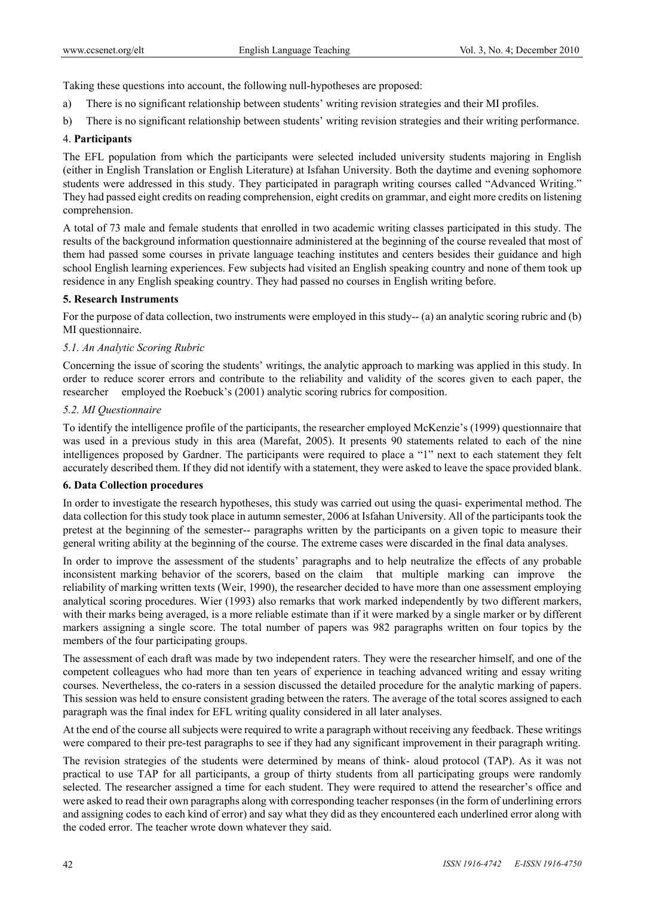Taking these questions into account, the following null-hypotheses are proposed:

- a) There is no significant relationship between students' writing revision strategies and their MI profiles.
- b) There is no significant relationship between students' writing revision strategies and their writing performance.

## 4. **Participants**

The EFL population from which the participants were selected included university students majoring in English (either in English Translation or English Literature) at Isfahan University. Both the daytime and evening sophomore students were addressed in this study. They participated in paragraph writing courses called "Advanced Writing." They had passed eight credits on reading comprehension, eight credits on grammar, and eight more credits on listening comprehension.

A total of 73 male and female students that enrolled in two academic writing classes participated in this study. The results of the background information questionnaire administered at the beginning of the course revealed that most of them had passed some courses in private language teaching institutes and centers besides their guidance and high school English learning experiences. Few subjects had visited an English speaking country and none of them took up residence in any English speaking country. They had passed no courses in English writing before.

## **5. Research Instruments**

For the purpose of data collection, two instruments were employed in this study-- (a) an analytic scoring rubric and (b) MI questionnaire.

## *5.1. An Analytic Scoring Rubric*

Concerning the issue of scoring the students' writings, the analytic approach to marking was applied in this study. In order to reduce scorer errors and contribute to the reliability and validity of the scores given to each paper, the researcher employed the Roebuck's (2001) analytic scoring rubrics for composition.

## *5.2. MI Questionnaire*

To identify the intelligence profile of the participants, the researcher employed McKenzie's (1999) questionnaire that was used in a previous study in this area (Marefat, 2005). It presents 90 statements related to each of the nine intelligences proposed by Gardner. The participants were required to place a "1" next to each statement they felt accurately described them. If they did not identify with a statement, they were asked to leave the space provided blank.

## **6. Data Collection procedures**

In order to investigate the research hypotheses, this study was carried out using the quasi- experimental method. The data collection for this study took place in autumn semester, 2006 at Isfahan University. All of the participants took the pretest at the beginning of the semester-- paragraphs written by the participants on a given topic to measure their general writing ability at the beginning of the course. The extreme cases were discarded in the final data analyses.

In order to improve the assessment of the students' paragraphs and to help neutralize the effects of any probable inconsistent marking behavior of the scorers, based on the claim that multiple marking can improve the reliability of marking written texts (Weir, 1990), the researcher decided to have more than one assessment employing analytical scoring procedures. Wier (1993) also remarks that work marked independently by two different markers, with their marks being averaged, is a more reliable estimate than if it were marked by a single marker or by different markers assigning a single score. The total number of papers was 982 paragraphs written on four topics by the members of the four participating groups.

The assessment of each draft was made by two independent raters. They were the researcher himself, and one of the competent colleagues who had more than ten years of experience in teaching advanced writing and essay writing courses. Nevertheless, the co-raters in a session discussed the detailed procedure for the analytic marking of papers. This session was held to ensure consistent grading between the raters. The average of the total scores assigned to each paragraph was the final index for EFL writing quality considered in all later analyses.

At the end of the course all subjects were required to write a paragraph without receiving any feedback. These writings were compared to their pre-test paragraphs to see if they had any significant improvement in their paragraph writing.

The revision strategies of the students were determined by means of think- aloud protocol (TAP). As it was not practical to use TAP for all participants, a group of thirty students from all participating groups were randomly selected. The researcher assigned a time for each student. They were required to attend the researcher's office and were asked to read their own paragraphs along with corresponding teacher responses (in the form of underlining errors and assigning codes to each kind of error) and say what they did as they encountered each underlined error along with the coded error. The teacher wrote down whatever they said.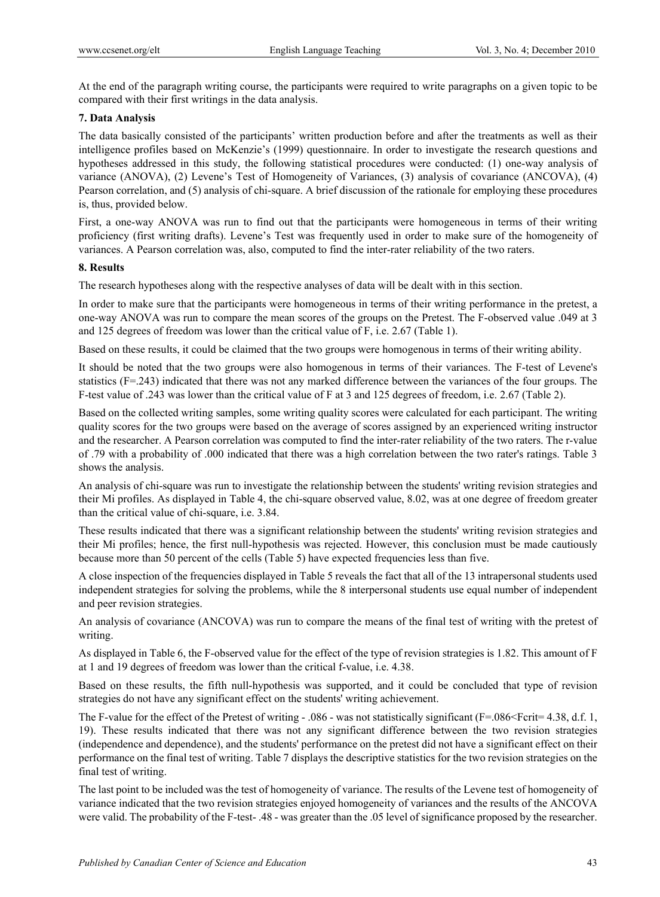At the end of the paragraph writing course, the participants were required to write paragraphs on a given topic to be compared with their first writings in the data analysis.

## **7. Data Analysis**

The data basically consisted of the participants' written production before and after the treatments as well as their intelligence profiles based on McKenzie's (1999) questionnaire. In order to investigate the research questions and hypotheses addressed in this study, the following statistical procedures were conducted: (1) one-way analysis of variance (ANOVA), (2) Levene's Test of Homogeneity of Variances, (3) analysis of covariance (ANCOVA), (4) Pearson correlation, and (5) analysis of chi-square. A brief discussion of the rationale for employing these procedures is, thus, provided below.

First, a one-way ANOVA was run to find out that the participants were homogeneous in terms of their writing proficiency (first writing drafts). Levene's Test was frequently used in order to make sure of the homogeneity of variances. A Pearson correlation was, also, computed to find the inter-rater reliability of the two raters.

## **8. Results**

The research hypotheses along with the respective analyses of data will be dealt with in this section.

In order to make sure that the participants were homogeneous in terms of their writing performance in the pretest, a one-way ANOVA was run to compare the mean scores of the groups on the Pretest. The F-observed value .049 at 3 and 125 degrees of freedom was lower than the critical value of F, i.e. 2.67 (Table 1).

Based on these results, it could be claimed that the two groups were homogenous in terms of their writing ability.

It should be noted that the two groups were also homogenous in terms of their variances. The F-test of Levene's statistics (F=.243) indicated that there was not any marked difference between the variances of the four groups. The F-test value of .243 was lower than the critical value of F at 3 and 125 degrees of freedom, i.e. 2.67 (Table 2).

Based on the collected writing samples, some writing quality scores were calculated for each participant. The writing quality scores for the two groups were based on the average of scores assigned by an experienced writing instructor and the researcher. A Pearson correlation was computed to find the inter-rater reliability of the two raters. The r-value of .79 with a probability of .000 indicated that there was a high correlation between the two rater's ratings. Table 3 shows the analysis.

An analysis of chi-square was run to investigate the relationship between the students' writing revision strategies and their Mi profiles. As displayed in Table 4, the chi-square observed value, 8.02, was at one degree of freedom greater than the critical value of chi-square, i.e. 3.84.

These results indicated that there was a significant relationship between the students' writing revision strategies and their Mi profiles; hence, the first null-hypothesis was rejected. However, this conclusion must be made cautiously because more than 50 percent of the cells (Table 5) have expected frequencies less than five.

A close inspection of the frequencies displayed in Table 5 reveals the fact that all of the 13 intrapersonal students used independent strategies for solving the problems, while the 8 interpersonal students use equal number of independent and peer revision strategies.

An analysis of covariance (ANCOVA) was run to compare the means of the final test of writing with the pretest of writing.

As displayed in Table 6, the F-observed value for the effect of the type of revision strategies is 1.82. This amount of F at 1 and 19 degrees of freedom was lower than the critical f-value, i.e. 4.38.

Based on these results, the fifth null-hypothesis was supported, and it could be concluded that type of revision strategies do not have any significant effect on the students' writing achievement.

The F-value for the effect of the Pretest of writing - .086 - was not statistically significant (F=.086<Fcrit= 4.38, d.f. 1, 19). These results indicated that there was not any significant difference between the two revision strategies (independence and dependence), and the students' performance on the pretest did not have a significant effect on their performance on the final test of writing. Table 7 displays the descriptive statistics for the two revision strategies on the final test of writing.

The last point to be included was the test of homogeneity of variance. The results of the Levene test of homogeneity of variance indicated that the two revision strategies enjoyed homogeneity of variances and the results of the ANCOVA were valid. The probability of the F-test- .48 - was greater than the .05 level of significance proposed by the researcher.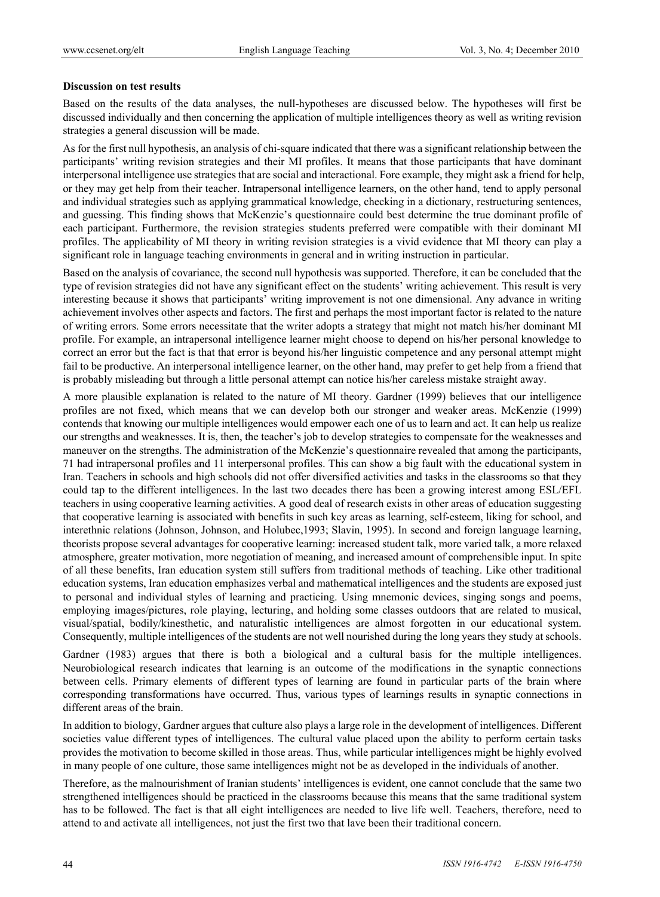#### **Discussion on test results**

Based on the results of the data analyses, the null-hypotheses are discussed below. The hypotheses will first be discussed individually and then concerning the application of multiple intelligences theory as well as writing revision strategies a general discussion will be made.

As for the first null hypothesis, an analysis of chi-square indicated that there was a significant relationship between the participants' writing revision strategies and their MI profiles. It means that those participants that have dominant interpersonal intelligence use strategies that are social and interactional. Fore example, they might ask a friend for help, or they may get help from their teacher. Intrapersonal intelligence learners, on the other hand, tend to apply personal and individual strategies such as applying grammatical knowledge, checking in a dictionary, restructuring sentences, and guessing. This finding shows that McKenzie's questionnaire could best determine the true dominant profile of each participant. Furthermore, the revision strategies students preferred were compatible with their dominant MI profiles. The applicability of MI theory in writing revision strategies is a vivid evidence that MI theory can play a significant role in language teaching environments in general and in writing instruction in particular.

Based on the analysis of covariance, the second null hypothesis was supported. Therefore, it can be concluded that the type of revision strategies did not have any significant effect on the students' writing achievement. This result is very interesting because it shows that participants' writing improvement is not one dimensional. Any advance in writing achievement involves other aspects and factors. The first and perhaps the most important factor is related to the nature of writing errors. Some errors necessitate that the writer adopts a strategy that might not match his/her dominant MI profile. For example, an intrapersonal intelligence learner might choose to depend on his/her personal knowledge to correct an error but the fact is that that error is beyond his/her linguistic competence and any personal attempt might fail to be productive. An interpersonal intelligence learner, on the other hand, may prefer to get help from a friend that is probably misleading but through a little personal attempt can notice his/her careless mistake straight away.

A more plausible explanation is related to the nature of MI theory. Gardner (1999) believes that our intelligence profiles are not fixed, which means that we can develop both our stronger and weaker areas. McKenzie (1999) contends that knowing our multiple intelligences would empower each one of us to learn and act. It can help us realize our strengths and weaknesses. It is, then, the teacher's job to develop strategies to compensate for the weaknesses and maneuver on the strengths. The administration of the McKenzie's questionnaire revealed that among the participants, 71 had intrapersonal profiles and 11 interpersonal profiles. This can show a big fault with the educational system in Iran. Teachers in schools and high schools did not offer diversified activities and tasks in the classrooms so that they could tap to the different intelligences. In the last two decades there has been a growing interest among ESL/EFL teachers in using cooperative learning activities. A good deal of research exists in other areas of education suggesting that cooperative learning is associated with benefits in such key areas as learning, self-esteem, liking for school, and interethnic relations (Johnson, Johnson, and Holubec,1993; Slavin, 1995). In second and foreign language learning, theorists propose several advantages for cooperative learning: increased student talk, more varied talk, a more relaxed atmosphere, greater motivation, more negotiation of meaning, and increased amount of comprehensible input. In spite of all these benefits, Iran education system still suffers from traditional methods of teaching. Like other traditional education systems, Iran education emphasizes verbal and mathematical intelligences and the students are exposed just to personal and individual styles of learning and practicing. Using mnemonic devices, singing songs and poems, employing images/pictures, role playing, lecturing, and holding some classes outdoors that are related to musical, visual/spatial, bodily/kinesthetic, and naturalistic intelligences are almost forgotten in our educational system. Consequently, multiple intelligences of the students are not well nourished during the long years they study at schools.

Gardner (1983) argues that there is both a biological and a cultural basis for the multiple intelligences. Neurobiological research indicates that learning is an outcome of the modifications in the synaptic connections between cells. Primary elements of different types of learning are found in particular parts of the brain where corresponding transformations have occurred. Thus, various types of learnings results in synaptic connections in different areas of the brain.

In addition to biology, Gardner argues that culture also plays a large role in the development of intelligences. Different societies value different types of intelligences. The cultural value placed upon the ability to perform certain tasks provides the motivation to become skilled in those areas. Thus, while particular intelligences might be highly evolved in many people of one culture, those same intelligences might not be as developed in the individuals of another.

Therefore, as the malnourishment of Iranian students' intelligences is evident, one cannot conclude that the same two strengthened intelligences should be practiced in the classrooms because this means that the same traditional system has to be followed. The fact is that all eight intelligences are needed to live life well. Teachers, therefore, need to attend to and activate all intelligences, not just the first two that lave been their traditional concern.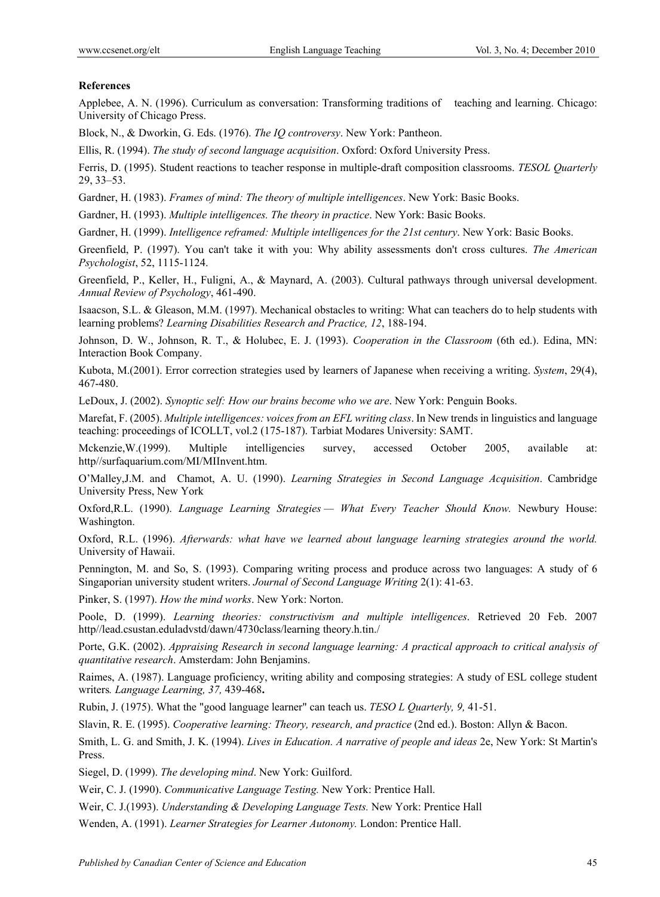## **References**

Applebee, A. N. (1996). Curriculum as conversation: Transforming traditions of teaching and learning. Chicago: University of Chicago Press.

Block, N., & Dworkin, G. Eds. (1976). *The IQ controversy*. New York: Pantheon.

Ellis, R. (1994). *The study of second language acquisition*. Oxford: Oxford University Press.

Ferris, D. (1995). Student reactions to teacher response in multiple-draft composition classrooms. *TESOL Quarterly* 29, 33–53.

Gardner, H. (1983). *Frames of mind: The theory of multiple intelligences*. New York: Basic Books.

Gardner, H. (1993). *Multiple intelligences. The theory in practice*. New York: Basic Books.

Gardner, H. (1999). *Intelligence reframed: Multiple intelligences for the 21st century*. New York: Basic Books.

Greenfield, P. (1997). You can't take it with you: Why ability assessments don't cross cultures. *The American Psychologist*, 52, 1115-1124.

Greenfield, P., Keller, H., Fuligni, A., & Maynard, A. (2003). Cultural pathways through universal development. *Annual Review of Psychology*, 461-490.

Isaacson, S.L. & Gleason, M.M. (1997). Mechanical obstacles to writing: What can teachers do to help students with learning problems? *Learning Disabilities Research and Practice, 12*, 188-194.

Johnson, D. W., Johnson, R. T., & Holubec, E. J. (1993). *Cooperation in the Classroom* (6th ed.). Edina, MN: Interaction Book Company.

Kubota, M.(2001). Error correction strategies used by learners of Japanese when receiving a writing. *System*, 29(4), 467-480.

LeDoux, J. (2002). *Synoptic self: How our brains become who we are*. New York: Penguin Books.

Marefat, F. (2005). *Multiple intelligences: voices from an EFL writing class*. In New trends in linguistics and language teaching: proceedings of ICOLLT, vol.2 (175-187). Tarbiat Modares University: SAMT.

Mckenzie,W.(1999). Multiple intelligencies survey, accessed October 2005, available at: http//surfaquarium.com/MI/MIInvent.htm.

O'Malley,J.M. and Chamot, A. U. (1990). *Learning Strategies in Second Language Acquisition*. Cambridge University Press, New York

Oxford,R.L. (1990). *Language Learning Strategies — What Every Teacher Should Know.* Newbury House: Washington.

Oxford, R.L. (1996). *Afterwards: what have we learned about language learning strategies around the world.* University of Hawaii.

Pennington, M. and So, S. (1993). Comparing writing process and produce across two languages: A study of 6 Singaporian university student writers. *Journal of Second Language Writing* 2(1): 41-63.

Pinker, S. (1997). *How the mind works*. New York: Norton.

Poole, D. (1999). *Learning theories: constructivism and multiple intelligences*. Retrieved 20 Feb. 2007 http//lead.csustan.eduladvstd/dawn/4730class/learning theory.h.tin./

Porte, G.K. (2002). *Appraising Research in second language learning: A practical approach to critical analysis of quantitative research*. Amsterdam: John Benjamins.

Raimes, A. (1987). Language proficiency, writing ability and composing strategies: A study of ESL college student writers*. Language Learning, 37,* 439-468**.** 

Rubin, J. (1975). What the "good language learner" can teach us. *TESO L Quarterly, 9,* 41-51.

Slavin, R. E. (1995). *Cooperative learning: Theory, research, and practice* (2nd ed.). Boston: Allyn & Bacon.

Smith, L. G. and Smith, J. K. (1994). *Lives in Education. A narrative of people and ideas* 2e, New York: St Martin's Press.

Siegel, D. (1999). *The developing mind*. New York: Guilford.

Weir, C. J. (1990). *Communicative Language Testing.* New York: Prentice Hall.

Weir, C. J.(1993). *Understanding & Developing Language Tests.* New York: Prentice Hall

Wenden, A. (1991). *Learner Strategies for Learner Autonomy.* London: Prentice Hall.